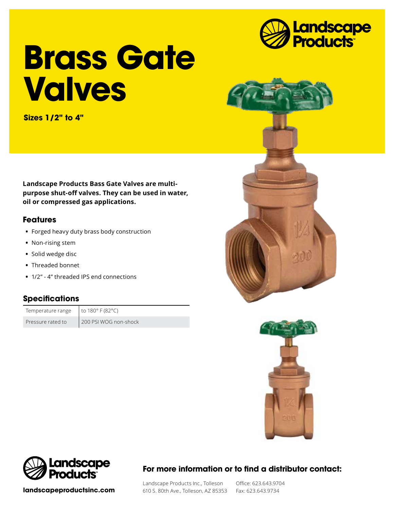

# **Brass Gate Valves**

**Sizes 1/2" to 4"**

**Landscape Products Bass Gate Valves are multipurpose shut-off valves. They can be used in water, oil or compressed gas applications.**

## **Features**

- **•** Forged heavy duty brass body construction
- **•** Non-rising stem
- **•** Solid wedge disc
- **•** Threaded bonnet
- **•** 1/2" 4" threaded IPS end connections

## **Specifications**

Temperature range  $\vert$  to 180° F (82°C)

Pressure rated to 200 PSI WOG non-shock







**landscapeproductsinc.com**

# **For more information or to find a distributor contact:**

Landscape Products Inc., Tolleson 610 S. 80th Ave., Tolleson, AZ 85353 Fax: 623.643.9734

Office: 623.643.9704